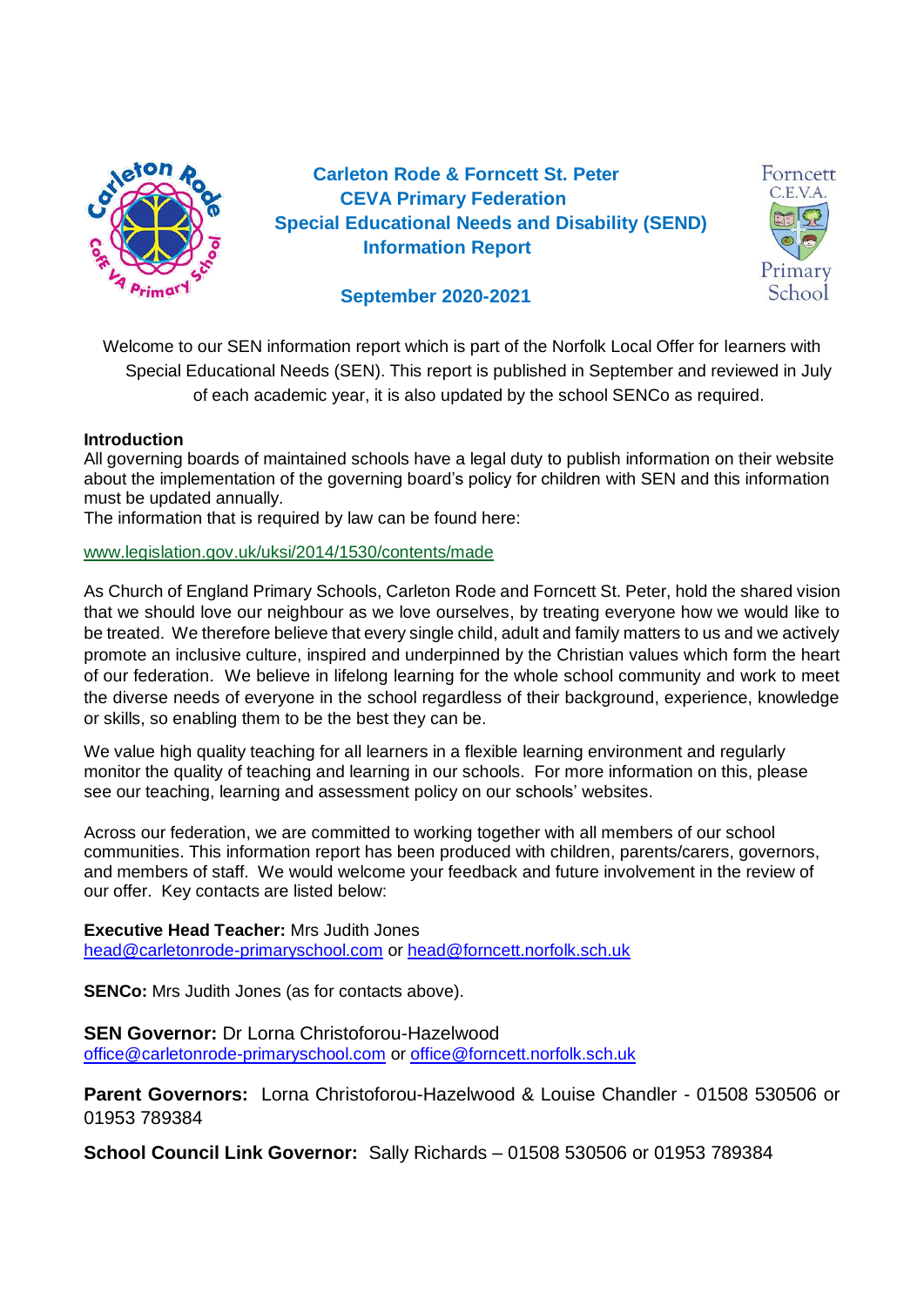

 **Carleton Rode & Forncett St. Peter CEVA Primary Federation Special Educational Needs and Disability (SEND) Information Report**



# **September 2020-2021**

Welcome to our SEN information report which is part of the Norfolk Local Offer for learners with Special Educational Needs (SEN). This report is published in September and reviewed in July of each academic year, it is also updated by the school SENCo as required.

#### **Introduction**

All governing boards of maintained schools have a legal duty to publish information on their website about the implementation of the governing board's policy for children with SEN and this information must be updated annually.

The information that is required by law can be found here:

[www.legislation.gov.uk/uksi/2014/1530/contents/made](http://www.legislation.gov.uk/uksi/2014/1530/contents/made)

As Church of England Primary Schools, Carleton Rode and Forncett St. Peter, hold the shared vision that we should love our neighbour as we love ourselves, by treating everyone how we would like to be treated. We therefore believe that every single child, adult and family matters to us and we actively promote an inclusive culture, inspired and underpinned by the Christian values which form the heart of our federation. We believe in lifelong learning for the whole school community and work to meet the diverse needs of everyone in the school regardless of their background, experience, knowledge or skills, so enabling them to be the best they can be.

We value high quality teaching for all learners in a flexible learning environment and regularly monitor the quality of teaching and learning in our schools. For more information on this, please see our teaching, learning and assessment policy on our schools' websites.

Across our federation, we are committed to working together with all members of our school communities. This information report has been produced with children, parents/carers, governors, and members of staff. We would welcome your feedback and future involvement in the review of our offer. Key contacts are listed below:

#### **Executive Head Teacher:** Mrs Judith Jones

[head@carletonrode-primaryschool.com](mailto:head@carletonrode-primaryschool.com) or [head@forncett.norfolk.sch.uk](mailto:head@forncett.norfolk.sch.uk)

**SENCo:** Mrs Judith Jones (as for contacts above).

#### **SEN Governor:** Dr Lorna Christoforou-Hazelwood [office@carletonrode-primaryschool.com](mailto:office@carletonrode-primaryschool.com) or [office@forncett.norfolk.sch.uk](mailto:office@forncett.norfolk.sch.uk)

**Parent Governors:** Lorna Christoforou-Hazelwood & Louise Chandler - 01508 530506 or 01953 789384

**School Council Link Governor:** Sally Richards – 01508 530506 or 01953 789384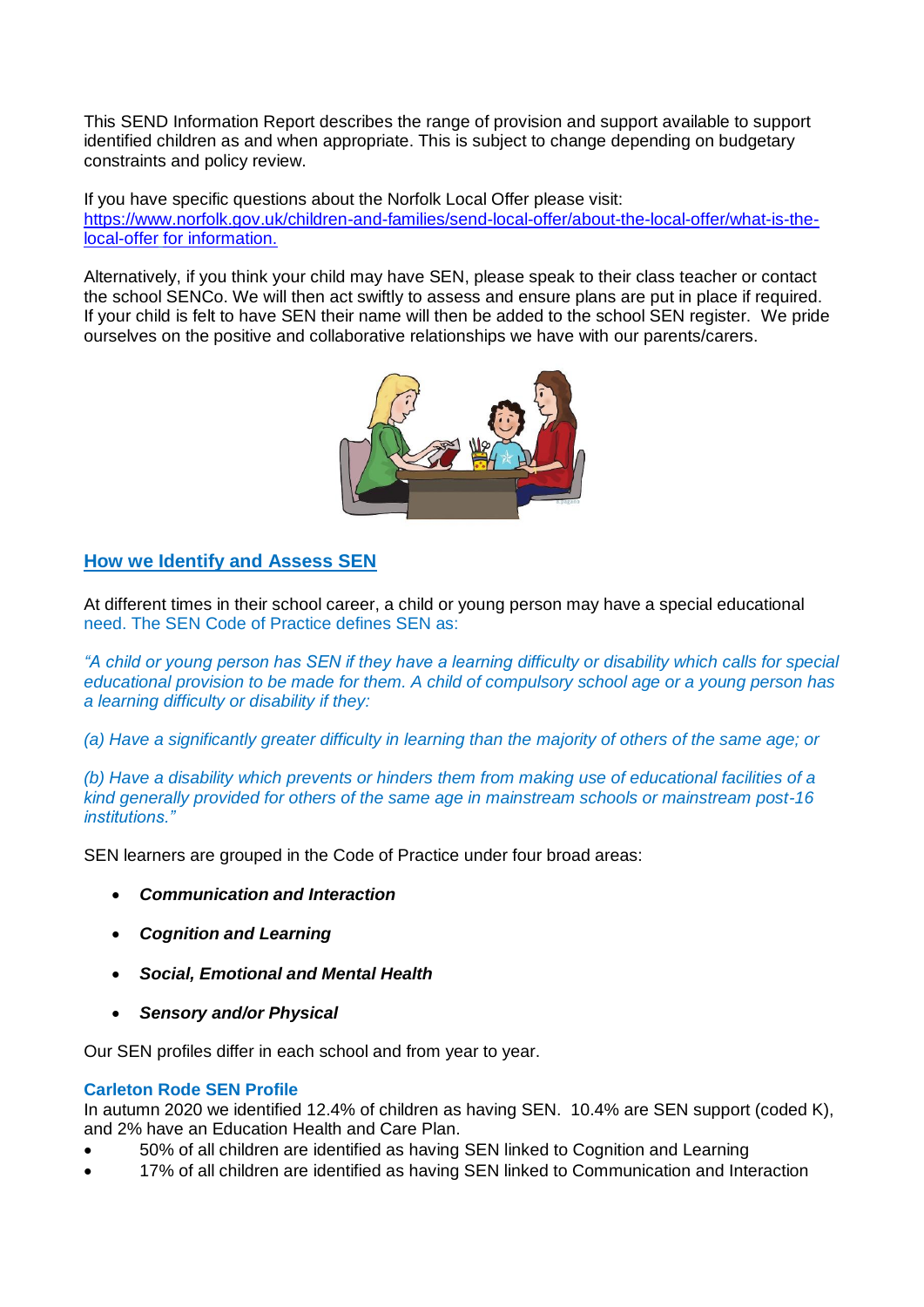This SEND Information Report describes the range of provision and support available to support identified children as and when appropriate. This is subject to change depending on budgetary constraints and policy review.

If you have specific questions about the Norfolk Local Offer please visit: [https://www.norfolk.gov.uk/children-and-families/send-local-offer/about-the-local-offer/what-is-the](https://www.norfolk.gov.uk/children-and-families/send-local-offer/about-the-local-offer/what-is-the-local-offer)[local-offer](https://www.norfolk.gov.uk/children-and-families/send-local-offer/about-the-local-offer/what-is-the-local-offer) for information.

Alternatively, if you think your child may have SEN, please speak to their class teacher or contact the school SENCo. We will then act swiftly to assess and ensure plans are put in place if required. If your child is felt to have SEN their name will then be added to the school SEN register. We pride ourselves on the positive and collaborative relationships we have with our parents/carers.



### **How we Identify and Assess SEN**

At different times in their school career, a child or young person may have a special educational need. The SEN Code of Practice defines SEN as:

*"A child or young person has SEN if they have a learning difficulty or disability which calls for special educational provision to be made for them. A child of compulsory school age or a young person has a learning difficulty or disability if they:*

*(a) Have a significantly greater difficulty in learning than the majority of others of the same age; or*

*(b) Have a disability which prevents or hinders them from making use of educational facilities of a kind generally provided for others of the same age in mainstream schools or mainstream post-16 institutions."*

SEN learners are grouped in the Code of Practice under four broad areas:

- *Communication and Interaction*
- *Cognition and Learning*
- *Social, Emotional and Mental Health*
- *Sensory and/or Physical*

Our SEN profiles differ in each school and from year to year.

#### **Carleton Rode SEN Profile**

In autumn 2020 we identified 12.4% of children as having SEN. 10.4% are SEN support (coded K), and 2% have an Education Health and Care Plan.

- 50% of all children are identified as having SEN linked to Cognition and Learning
- 17% of all children are identified as having SEN linked to Communication and Interaction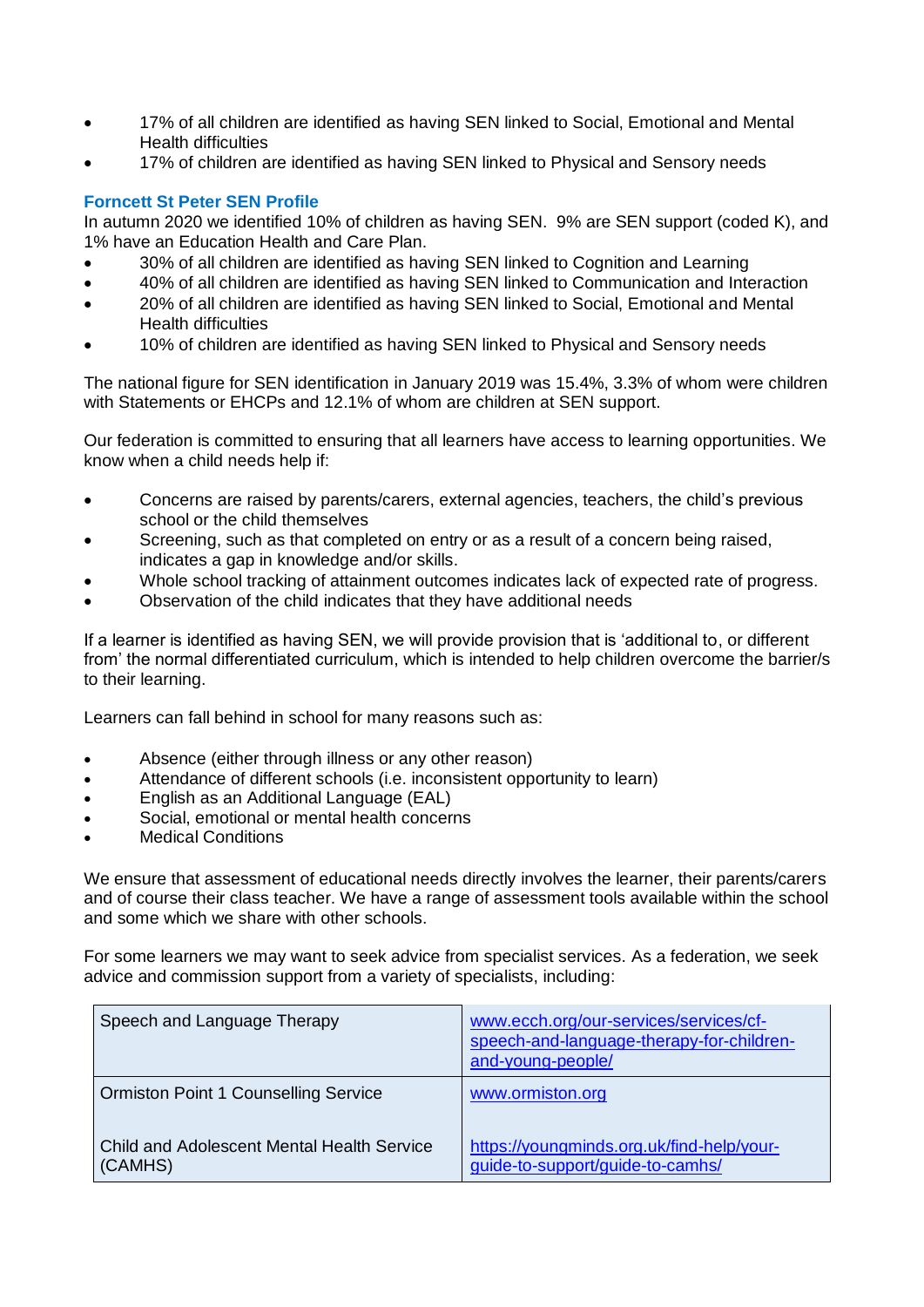- 17% of all children are identified as having SEN linked to Social, Emotional and Mental Health difficulties
- 17% of children are identified as having SEN linked to Physical and Sensory needs

#### **Forncett St Peter SEN Profile**

In autumn 2020 we identified 10% of children as having SEN. 9% are SEN support (coded K), and 1% have an Education Health and Care Plan.

- 30% of all children are identified as having SEN linked to Cognition and Learning
- 40% of all children are identified as having SEN linked to Communication and Interaction
- 20% of all children are identified as having SEN linked to Social, Emotional and Mental Health difficulties
- 10% of children are identified as having SEN linked to Physical and Sensory needs

The national figure for SEN identification in January 2019 was 15.4%, 3.3% of whom were children with Statements or EHCPs and 12.1% of whom are children at SEN support.

Our federation is committed to ensuring that all learners have access to learning opportunities. We know when a child needs help if:

- Concerns are raised by parents/carers, external agencies, teachers, the child's previous school or the child themselves
- Screening, such as that completed on entry or as a result of a concern being raised, indicates a gap in knowledge and/or skills.
- Whole school tracking of attainment outcomes indicates lack of expected rate of progress.
- Observation of the child indicates that they have additional needs

If a learner is identified as having SEN, we will provide provision that is 'additional to, or different from' the normal differentiated curriculum, which is intended to help children overcome the barrier/s to their learning.

Learners can fall behind in school for many reasons such as:

- Absence (either through illness or any other reason)
- Attendance of different schools (i.e. inconsistent opportunity to learn)
- English as an Additional Language (EAL)
- Social, emotional or mental health concerns
- Medical Conditions

We ensure that assessment of educational needs directly involves the learner, their parents/carers and of course their class teacher. We have a range of assessment tools available within the school and some which we share with other schools.

For some learners we may want to seek advice from specialist services. As a federation, we seek advice and commission support from a variety of specialists, including:

| Speech and Language Therapy                           | www.ecch.org/our-services/services/cf-<br>speech-and-language-therapy-for-children-<br>and-young-people/ |
|-------------------------------------------------------|----------------------------------------------------------------------------------------------------------|
| <b>Ormiston Point 1 Counselling Service</b>           | www.ormiston.org                                                                                         |
| Child and Adolescent Mental Health Service<br>(CAMHS) | https://youngminds.org.uk/find-help/your-<br>guide-to-support/guide-to-camhs/                            |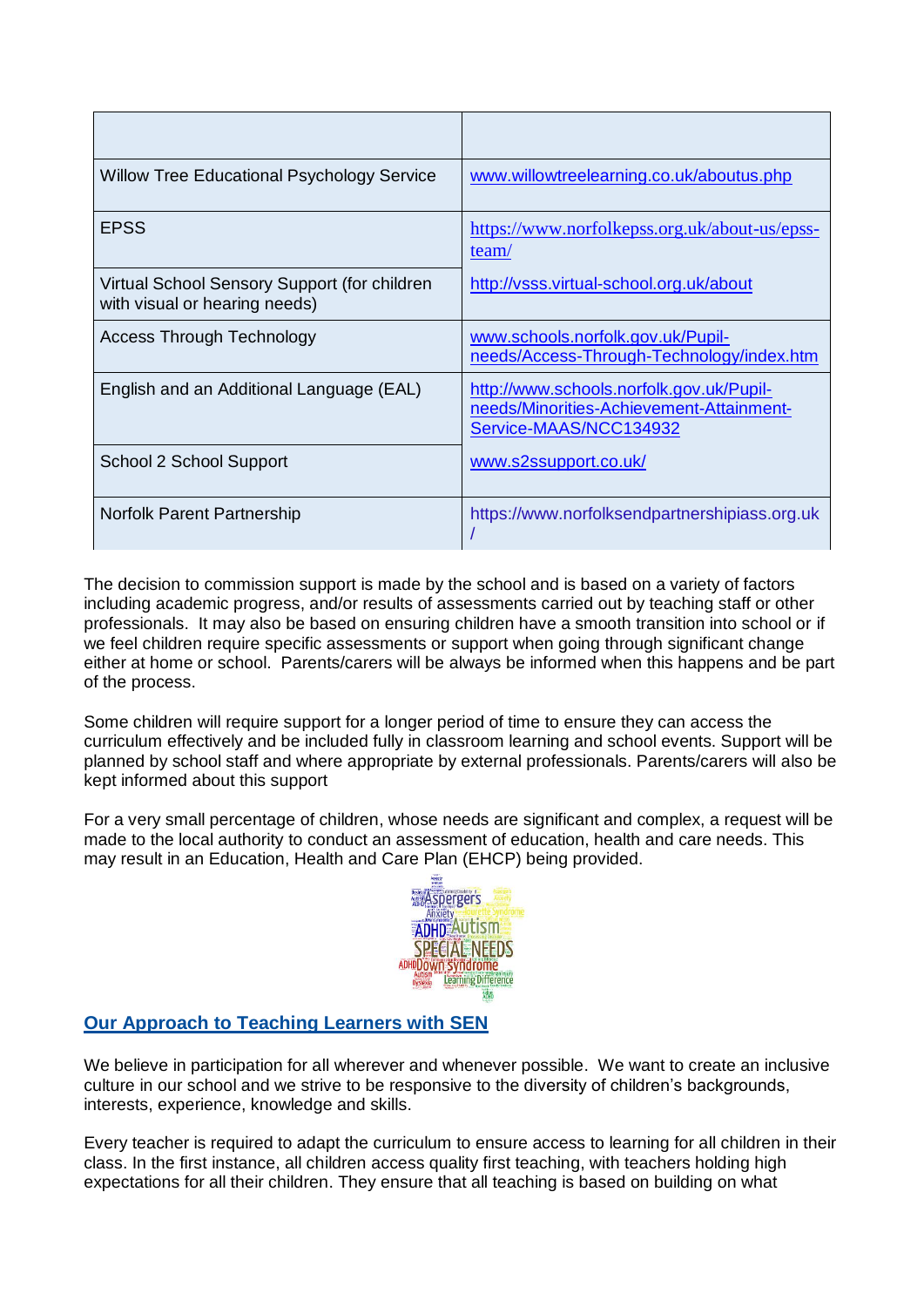| <b>Willow Tree Educational Psychology Service</b>                             | www.willowtreelearning.co.uk/aboutus.php                                                                       |
|-------------------------------------------------------------------------------|----------------------------------------------------------------------------------------------------------------|
| <b>EPSS</b>                                                                   | https://www.norfolkepss.org.uk/about-us/epss-<br>team/                                                         |
| Virtual School Sensory Support (for children<br>with visual or hearing needs) | http://vsss.virtual-school.org.uk/about                                                                        |
| <b>Access Through Technology</b>                                              | www.schools.norfolk.gov.uk/Pupil-<br>needs/Access-Through-Technology/index.htm                                 |
| English and an Additional Language (EAL)                                      | http://www.schools.norfolk.gov.uk/Pupil-<br>needs/Minorities-Achievement-Attainment-<br>Service-MAAS/NCC134932 |
| School 2 School Support                                                       | www.s2ssupport.co.uk/                                                                                          |
| Norfolk Parent Partnership                                                    | https://www.norfolksendpartnershipiass.org.uk                                                                  |

The decision to commission support is made by the school and is based on a variety of factors including academic progress, and/or results of assessments carried out by teaching staff or other professionals. It may also be based on ensuring children have a smooth transition into school or if we feel children require specific assessments or support when going through significant change either at home or school. Parents/carers will be always be informed when this happens and be part of the process.

Some children will require support for a longer period of time to ensure they can access the curriculum effectively and be included fully in classroom learning and school events. Support will be planned by school staff and where appropriate by external professionals. Parents/carers will also be kept informed about this support

For a very small percentage of children, whose needs are significant and complex, a request will be made to the local authority to conduct an assessment of education, health and care needs. This may result in an Education, Health and Care Plan (EHCP) being provided.



# **Our Approach to Teaching Learners with SEN**

We believe in participation for all wherever and whenever possible. We want to create an inclusive culture in our school and we strive to be responsive to the diversity of children's backgrounds, interests, experience, knowledge and skills.

Every teacher is required to adapt the curriculum to ensure access to learning for all children in their class. In the first instance, all children access quality first teaching, with teachers holding high expectations for all their children. They ensure that all teaching is based on building on what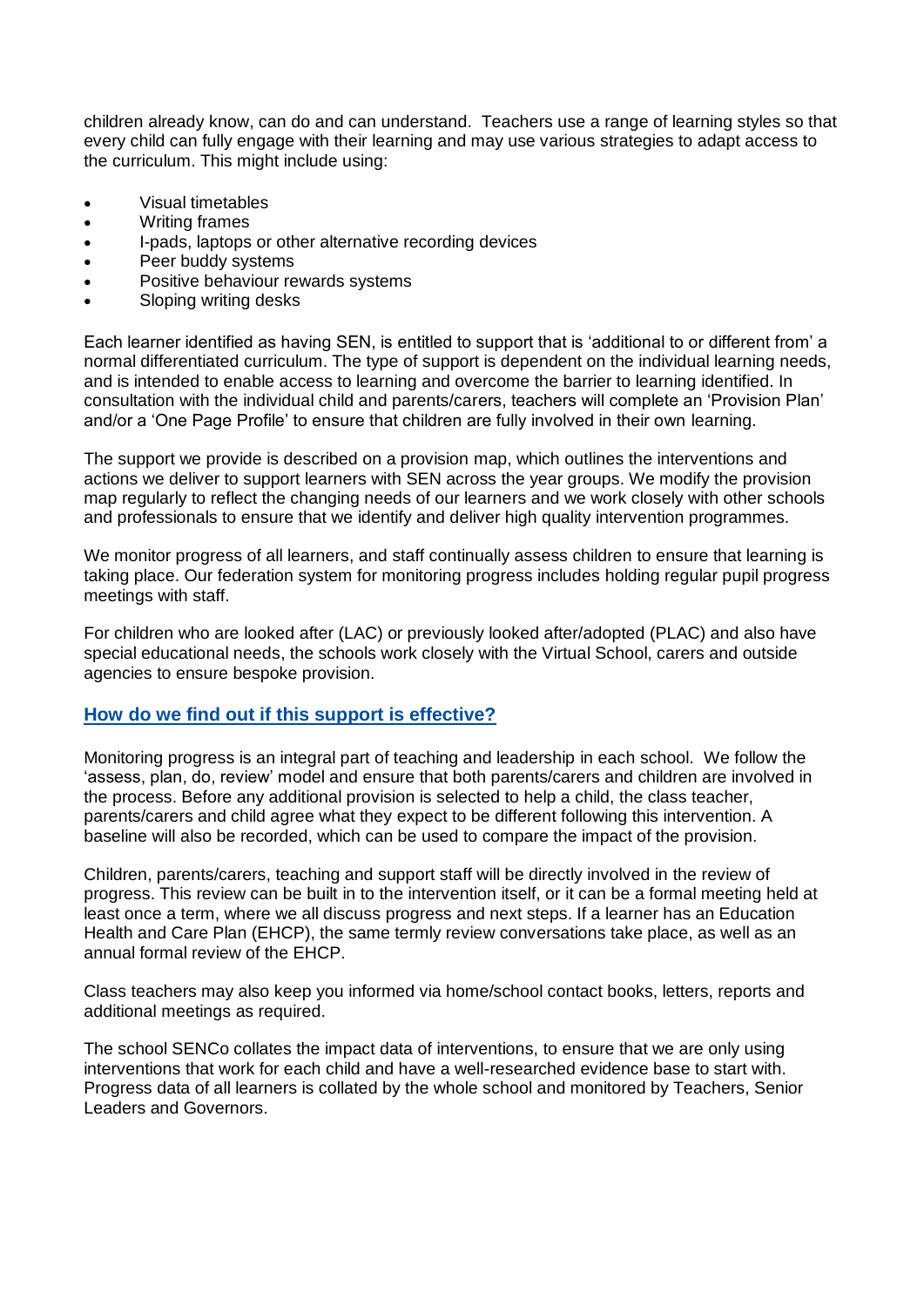children already know, can do and can understand. Teachers use a range of learning styles so that every child can fully engage with their learning and may use various strategies to adapt access to the curriculum. This might include using:

- Visual timetables
- Writing frames
- I-pads, laptops or other alternative recording devices
- Peer buddy systems
- Positive behaviour rewards systems
- Sloping writing desks

Each learner identified as having SEN, is entitled to support that is 'additional to or different from' a normal differentiated curriculum. The type of support is dependent on the individual learning needs, and is intended to enable access to learning and overcome the barrier to learning identified. In consultation with the individual child and parents/carers, teachers will complete an 'Provision Plan' and/or a 'One Page Profile' to ensure that children are fully involved in their own learning.

The support we provide is described on a provision map, which outlines the interventions and actions we deliver to support learners with SEN across the year groups. We modify the provision map regularly to reflect the changing needs of our learners and we work closely with other schools and professionals to ensure that we identify and deliver high quality intervention programmes.

We monitor progress of all learners, and staff continually assess children to ensure that learning is taking place. Our federation system for monitoring progress includes holding regular pupil progress meetings with staff.

For children who are looked after (LAC) or previously looked after/adopted (PLAC) and also have special educational needs, the schools work closely with the Virtual School, carers and outside agencies to ensure bespoke provision.

#### **How do we find out if this support is effective?**

Monitoring progress is an integral part of teaching and leadership in each school. We follow the 'assess, plan, do, review' model and ensure that both parents/carers and children are involved in the process. Before any additional provision is selected to help a child, the class teacher, parents/carers and child agree what they expect to be different following this intervention. A baseline will also be recorded, which can be used to compare the impact of the provision.

Children, parents/carers, teaching and support staff will be directly involved in the review of progress. This review can be built in to the intervention itself, or it can be a formal meeting held at least once a term, where we all discuss progress and next steps. If a learner has an Education Health and Care Plan (EHCP), the same termly review conversations take place, as well as an annual formal review of the EHCP.

Class teachers may also keep you informed via home/school contact books, letters, reports and additional meetings as required.

The school SENCo collates the impact data of interventions, to ensure that we are only using interventions that work for each child and have a well-researched evidence base to start with. Progress data of all learners is collated by the whole school and monitored by Teachers, Senior Leaders and Governors.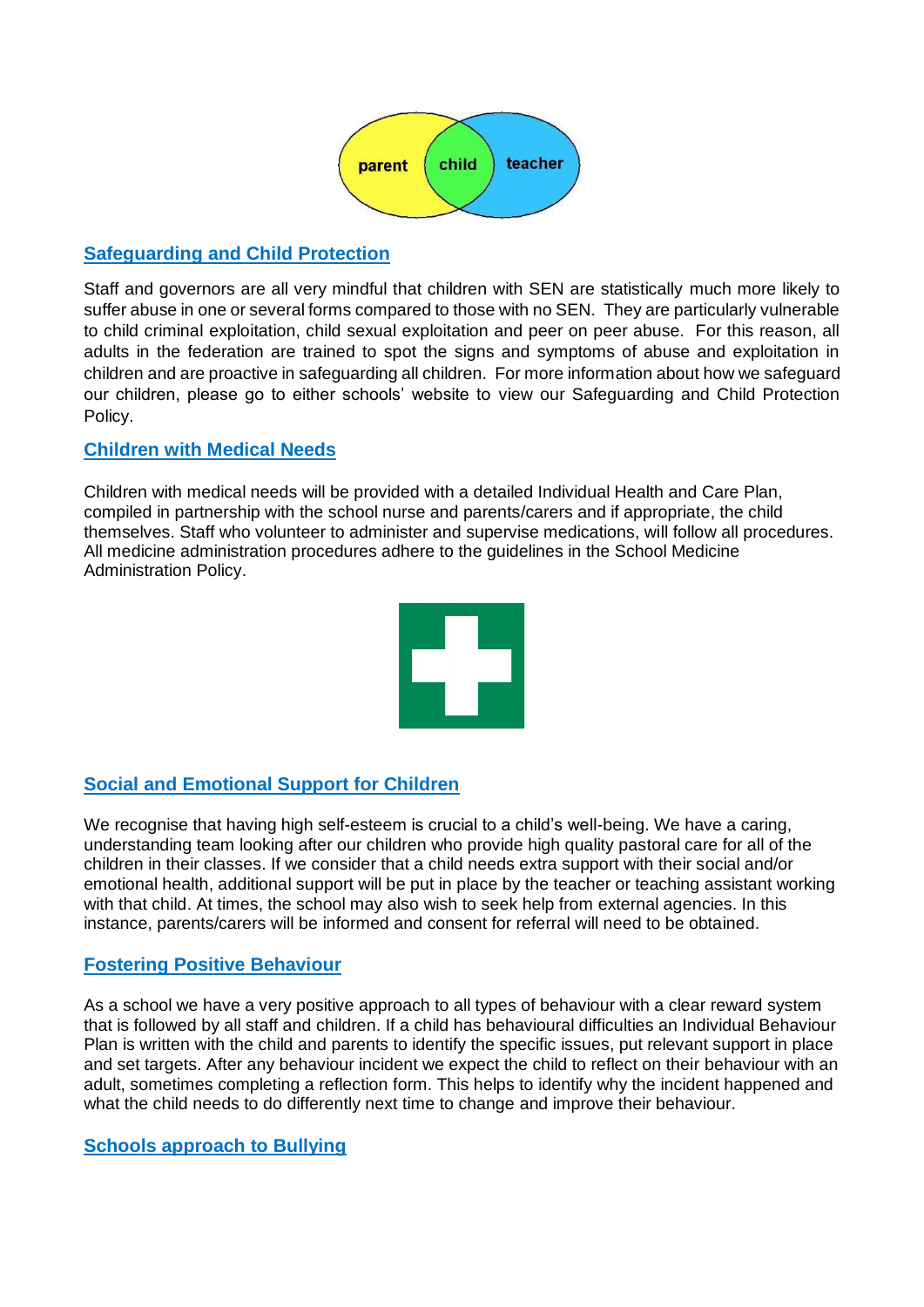

# **Safeguarding and Child Protection**

Staff and governors are all very mindful that children with SEN are statistically much more likely to suffer abuse in one or several forms compared to those with no SEN. They are particularly vulnerable to child criminal exploitation, child sexual exploitation and peer on peer abuse. For this reason, all adults in the federation are trained to spot the signs and symptoms of abuse and exploitation in children and are proactive in safeguarding all children. For more information about how we safeguard our children, please go to either schools' website to view our Safeguarding and Child Protection Policy.

## **Children with Medical Needs**

Children with medical needs will be provided with a detailed Individual Health and Care Plan, compiled in partnership with the school nurse and parents/carers and if appropriate, the child themselves. Staff who volunteer to administer and supervise medications, will follow all procedures. All medicine administration procedures adhere to the guidelines in the School Medicine Administration Policy.



# **Social and Emotional Support for Children**

We recognise that having high self-esteem is crucial to a child's well-being. We have a caring, understanding team looking after our children who provide high quality pastoral care for all of the children in their classes. If we consider that a child needs extra support with their social and/or emotional health, additional support will be put in place by the teacher or teaching assistant working with that child. At times, the school may also wish to seek help from external agencies. In this instance, parents/carers will be informed and consent for referral will need to be obtained.

# **Fostering Positive Behaviour**

As a school we have a very positive approach to all types of behaviour with a clear reward system that is followed by all staff and children. If a child has behavioural difficulties an Individual Behaviour Plan is written with the child and parents to identify the specific issues, put relevant support in place and set targets. After any behaviour incident we expect the child to reflect on their behaviour with an adult, sometimes completing a reflection form. This helps to identify why the incident happened and what the child needs to do differently next time to change and improve their behaviour.

### **Schools approach to Bullying**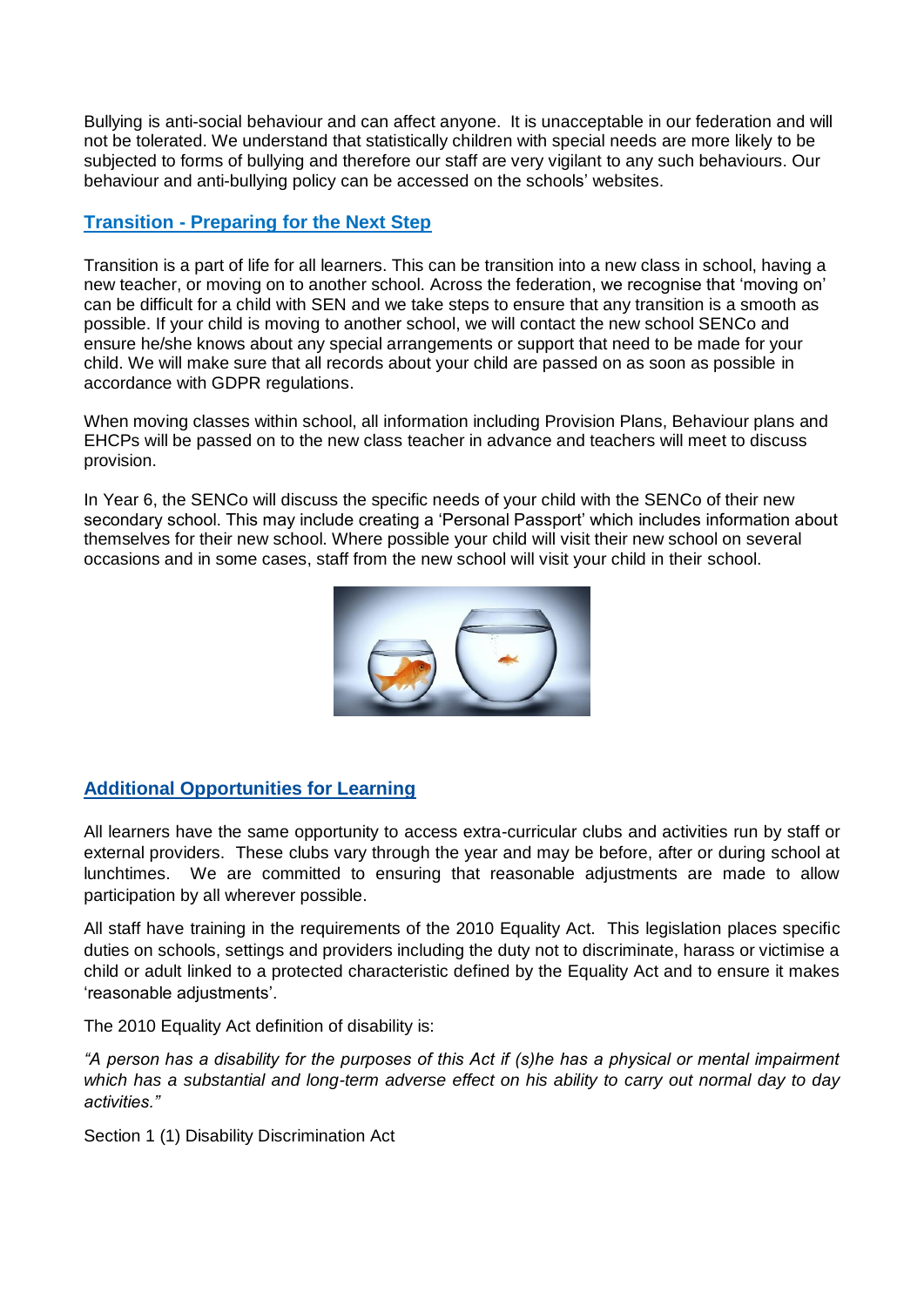Bullying is anti-social behaviour and can affect anyone. It is unacceptable in our federation and will not be tolerated. We understand that statistically children with special needs are more likely to be subjected to forms of bullying and therefore our staff are very vigilant to any such behaviours. Our behaviour and anti-bullying policy can be accessed on the schools' websites.

## **Transition - Preparing for the Next Step**

Transition is a part of life for all learners. This can be transition into a new class in school, having a new teacher, or moving on to another school. Across the federation, we recognise that 'moving on' can be difficult for a child with SEN and we take steps to ensure that any transition is a smooth as possible. If your child is moving to another school, we will contact the new school SENCo and ensure he/she knows about any special arrangements or support that need to be made for your child. We will make sure that all records about your child are passed on as soon as possible in accordance with GDPR regulations.

When moving classes within school, all information including Provision Plans, Behaviour plans and EHCPs will be passed on to the new class teacher in advance and teachers will meet to discuss provision.

In Year 6, the SENCo will discuss the specific needs of your child with the SENCo of their new secondary school. This may include creating a 'Personal Passport' which includes information about themselves for their new school. Where possible your child will visit their new school on several occasions and in some cases, staff from the new school will visit your child in their school.



# **Additional Opportunities for Learning**

All learners have the same opportunity to access extra-curricular clubs and activities run by staff or external providers. These clubs vary through the year and may be before, after or during school at lunchtimes. We are committed to ensuring that reasonable adjustments are made to allow participation by all wherever possible.

All staff have training in the requirements of the 2010 Equality Act. This legislation places specific duties on schools, settings and providers including the duty not to discriminate, harass or victimise a child or adult linked to a protected characteristic defined by the Equality Act and to ensure it makes 'reasonable adjustments'.

The 2010 Equality Act definition of disability is:

*"A person has a disability for the purposes of this Act if (s)he has a physical or mental impairment which has a substantial and long-term adverse effect on his ability to carry out normal day to day activities."*

Section 1 (1) Disability Discrimination Act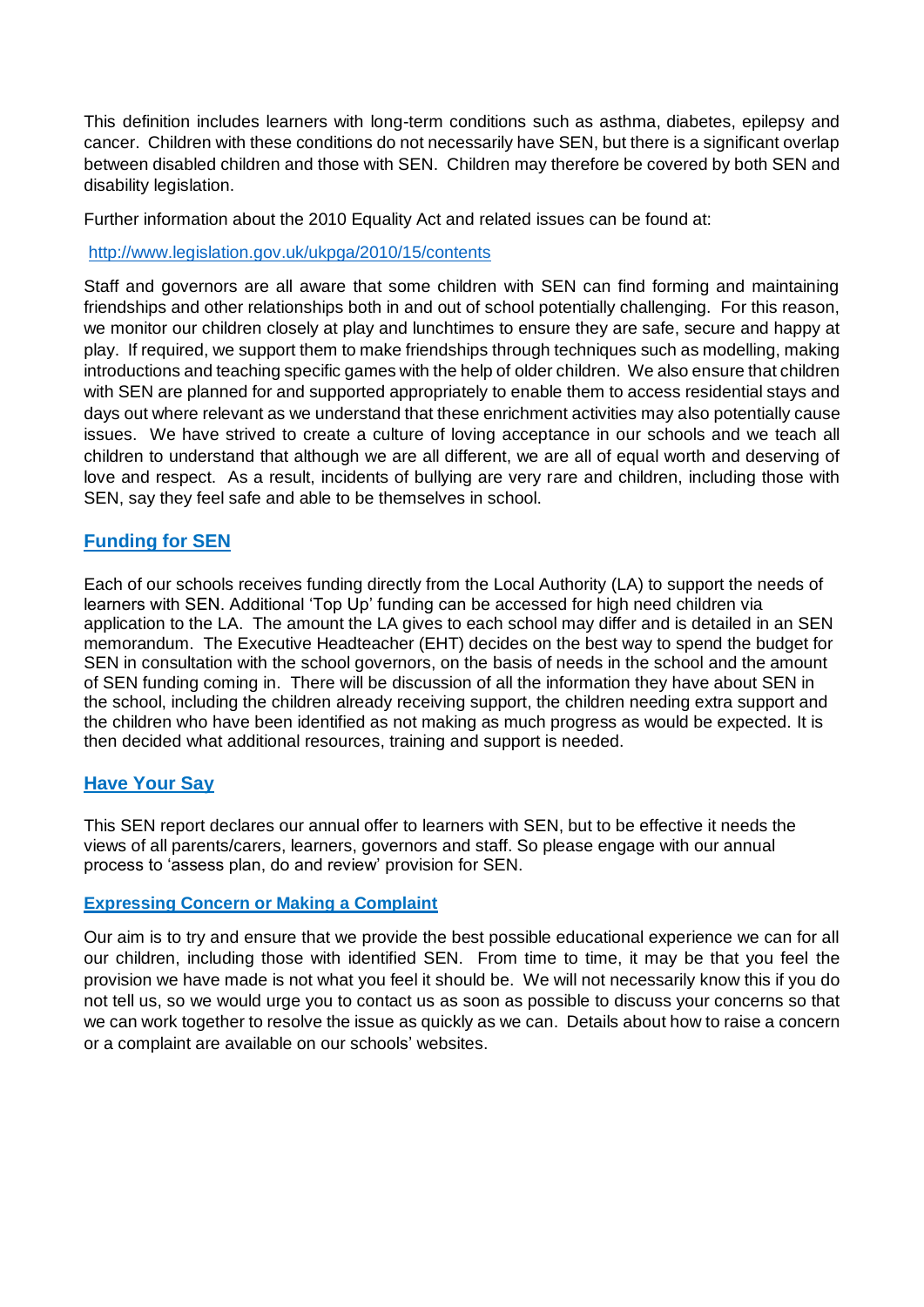This definition includes learners with long-term conditions such as asthma, diabetes, epilepsy and cancer. Children with these conditions do not necessarily have SEN, but there is a significant overlap between disabled children and those with SEN. Children may therefore be covered by both SEN and disability legislation.

Further information about the 2010 Equality Act and related issues can be found at:

### <http://www.legislation.gov.uk/ukpga/2010/15/contents>

Staff and governors are all aware that some children with SEN can find forming and maintaining friendships and other relationships both in and out of school potentially challenging. For this reason, we monitor our children closely at play and lunchtimes to ensure they are safe, secure and happy at play. If required, we support them to make friendships through techniques such as modelling, making introductions and teaching specific games with the help of older children. We also ensure that children with SEN are planned for and supported appropriately to enable them to access residential stays and days out where relevant as we understand that these enrichment activities may also potentially cause issues. We have strived to create a culture of loving acceptance in our schools and we teach all children to understand that although we are all different, we are all of equal worth and deserving of love and respect. As a result, incidents of bullying are very rare and children, including those with SEN, say they feel safe and able to be themselves in school.

## **Funding for SEN**

Each of our schools receives funding directly from the Local Authority (LA) to support the needs of learners with SEN. Additional 'Top Up' funding can be accessed for high need children via application to the LA. The amount the LA gives to each school may differ and is detailed in an SEN memorandum. The Executive Headteacher (EHT) decides on the best way to spend the budget for SEN in consultation with the school governors, on the basis of needs in the school and the amount of SEN funding coming in. There will be discussion of all the information they have about SEN in the school, including the children already receiving support, the children needing extra support and the children who have been identified as not making as much progress as would be expected. It is then decided what additional resources, training and support is needed.

## **Have Your Say**

This SEN report declares our annual offer to learners with SEN, but to be effective it needs the views of all parents/carers, learners, governors and staff. So please engage with our annual process to 'assess plan, do and review' provision for SEN.

### **Expressing Concern or Making a Complaint**

Our aim is to try and ensure that we provide the best possible educational experience we can for all our children, including those with identified SEN. From time to time, it may be that you feel the provision we have made is not what you feel it should be. We will not necessarily know this if you do not tell us, so we would urge you to contact us as soon as possible to discuss your concerns so that we can work together to resolve the issue as quickly as we can. Details about how to raise a concern or a complaint are available on our schools' websites.